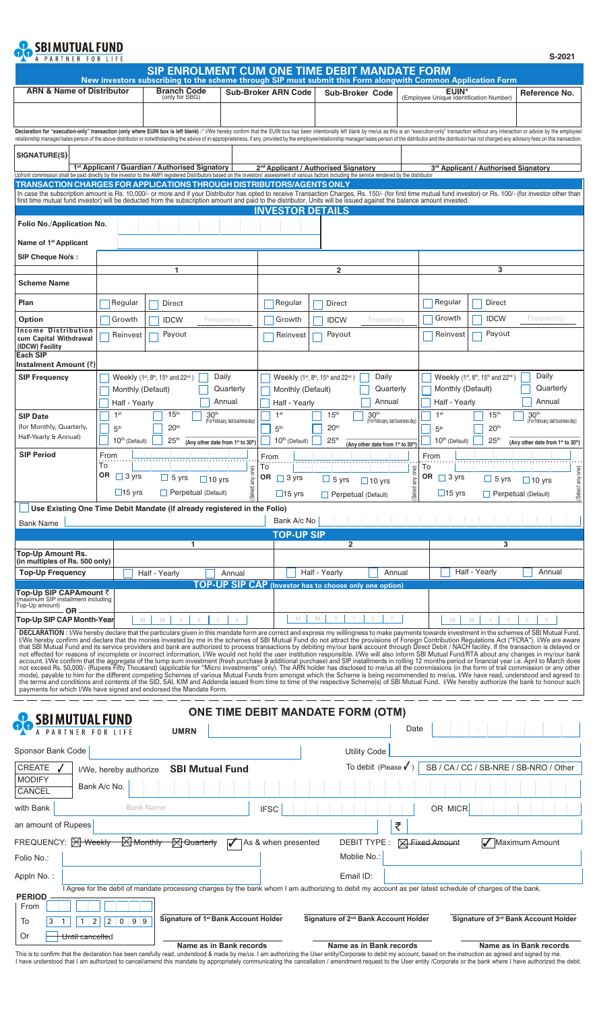## **OO** SBIMUTUAL FUND

|                                                                                                                                                                                                                                                                                                                                                                                                                                                                                                                                                                                                             |                                                                                                                                       | SIP ENROLMENT CUM ONE TIME DEBIT MANDATE FORM<br>New investors subscribing to the scheme through SIP must submit this Form alongwith Common Application Form |                                   |                                                                                     |                                                  |                                                       |                 |                                                                           |                                      |                                                       |
|-------------------------------------------------------------------------------------------------------------------------------------------------------------------------------------------------------------------------------------------------------------------------------------------------------------------------------------------------------------------------------------------------------------------------------------------------------------------------------------------------------------------------------------------------------------------------------------------------------------|---------------------------------------------------------------------------------------------------------------------------------------|--------------------------------------------------------------------------------------------------------------------------------------------------------------|-----------------------------------|-------------------------------------------------------------------------------------|--------------------------------------------------|-------------------------------------------------------|-----------------|---------------------------------------------------------------------------|--------------------------------------|-------------------------------------------------------|
| <b>ARN &amp; Name of Distributor</b>                                                                                                                                                                                                                                                                                                                                                                                                                                                                                                                                                                        |                                                                                                                                       | <b>Branch Code</b><br>(only for SBG)                                                                                                                         |                                   | <b>Sub-Broker ARN Code</b>                                                          |                                                  | Sub-Broker Code                                       |                 | EUIN*<br>(Employee Unique Identification Number)                          |                                      | Reference No.                                         |
|                                                                                                                                                                                                                                                                                                                                                                                                                                                                                                                                                                                                             |                                                                                                                                       |                                                                                                                                                              |                                   |                                                                                     |                                                  |                                                       |                 |                                                                           |                                      |                                                       |
| Declaration for "execution-only" transaction (only where EUIN box is left blank):* I/We hereby confirm that the EUIN box has been intentionally left blank by me/us as this is an "execution-only" transaction without any int<br>relationship manager/sales person of the above distributor or notwithstanding the advice of in-appropriateness, if any, provided by the employee/relationship manager/sales person of the distributor and the distributor has                                                                                                                                             |                                                                                                                                       |                                                                                                                                                              |                                   |                                                                                     |                                                  |                                                       |                 |                                                                           |                                      |                                                       |
| <b>SIGNATURE(S)</b>                                                                                                                                                                                                                                                                                                                                                                                                                                                                                                                                                                                         |                                                                                                                                       |                                                                                                                                                              |                                   |                                                                                     |                                                  |                                                       |                 |                                                                           |                                      |                                                       |
| Upfront commission shall be paid directly by the investor to the AMFI registered Distributors based on the investors' assessment of various factors including the service rendered by the distributor                                                                                                                                                                                                                                                                                                                                                                                                       |                                                                                                                                       | 1 <sup>st</sup> Applicant / Guardian / Authorised Signatory                                                                                                  |                                   | 2 <sup>nd</sup> Applicant / Authorised Signatory                                    |                                                  |                                                       |                 |                                                                           | 3rd Applicant / Authorised Signatory |                                                       |
| TRANSACTION CHARGES FOR APPLICATIONS THROUGH DISTRIBUTORS/AGENTS ONLY<br>In case the subscription amount is Rs. 10,000/- or more and if your Distributor has opted to receive Transaction Charges, Rs. 150/- (for first time mutual fund investor) or Rs. 100/- (for investor other than                                                                                                                                                                                                                                                                                                                    |                                                                                                                                       |                                                                                                                                                              |                                   |                                                                                     |                                                  |                                                       |                 |                                                                           |                                      |                                                       |
| first time mutual fund investor) will be deducted from the subscription amount and paid to the distributor. Units will be issued against the balance amount invested.                                                                                                                                                                                                                                                                                                                                                                                                                                       |                                                                                                                                       |                                                                                                                                                              |                                   | <b>INVESTOR DETAILS</b>                                                             |                                                  |                                                       |                 |                                                                           |                                      |                                                       |
| Folio No./Application No.                                                                                                                                                                                                                                                                                                                                                                                                                                                                                                                                                                                   |                                                                                                                                       |                                                                                                                                                              |                                   |                                                                                     |                                                  |                                                       |                 |                                                                           |                                      |                                                       |
| Name of 1 <sup>st</sup> Applicant                                                                                                                                                                                                                                                                                                                                                                                                                                                                                                                                                                           |                                                                                                                                       |                                                                                                                                                              |                                   |                                                                                     |                                                  |                                                       |                 |                                                                           |                                      |                                                       |
| SIP Cheque No/s:                                                                                                                                                                                                                                                                                                                                                                                                                                                                                                                                                                                            |                                                                                                                                       |                                                                                                                                                              |                                   |                                                                                     |                                                  |                                                       |                 |                                                                           |                                      |                                                       |
| 1<br><b>Scheme Name</b>                                                                                                                                                                                                                                                                                                                                                                                                                                                                                                                                                                                     |                                                                                                                                       |                                                                                                                                                              | $\overline{2}$                    |                                                                                     |                                                  |                                                       | 3               |                                                                           |                                      |                                                       |
| Plan                                                                                                                                                                                                                                                                                                                                                                                                                                                                                                                                                                                                        | Regular                                                                                                                               | Direct                                                                                                                                                       |                                   | Regular                                                                             | Direct                                           |                                                       |                 | Regular                                                                   | Direct                               |                                                       |
| Option                                                                                                                                                                                                                                                                                                                                                                                                                                                                                                                                                                                                      | Growth<br><b>IDCW</b><br>Frequency                                                                                                    |                                                                                                                                                              |                                   | Growth<br><b>IDCW</b><br>Frequency                                                  |                                                  |                                                       |                 | Growth<br><b>IDCW</b><br>Frequency                                        |                                      |                                                       |
| <b>Income Distribution</b><br>cum Capital Withdrawal                                                                                                                                                                                                                                                                                                                                                                                                                                                                                                                                                        | Payout<br>Reinvest                                                                                                                    |                                                                                                                                                              |                                   | Payout<br>Reinvest                                                                  |                                                  |                                                       |                 | Payout<br>Reinvest                                                        |                                      |                                                       |
| (IDCW) Facility<br><b>Each SIP</b>                                                                                                                                                                                                                                                                                                                                                                                                                                                                                                                                                                          |                                                                                                                                       |                                                                                                                                                              |                                   |                                                                                     |                                                  |                                                       |                 |                                                                           |                                      |                                                       |
| Instalment Amount (₹)                                                                                                                                                                                                                                                                                                                                                                                                                                                                                                                                                                                       | Daily                                                                                                                                 |                                                                                                                                                              |                                   |                                                                                     | Daily                                            |                                                       |                 |                                                                           |                                      |                                                       |
| <b>SIP Frequency</b>                                                                                                                                                                                                                                                                                                                                                                                                                                                                                                                                                                                        | Daily<br><b>Weekly</b> (1 <sup>st</sup> , 8 <sup>th</sup> , 15 <sup>th</sup> and 22 <sup>nd</sup> )<br>Quarterly<br>Monthly (Default) |                                                                                                                                                              |                                   | Weekly (1st, 8th, 15th and 22nd)<br>Quarterly<br>Monthly (Default)                  |                                                  |                                                       |                 | Weekly (1st, 8th, 15th and 22nd)<br>Quarterly<br>Monthly (Default)        |                                      |                                                       |
|                                                                                                                                                                                                                                                                                                                                                                                                                                                                                                                                                                                                             | Annual<br>Half - Yearly                                                                                                               |                                                                                                                                                              |                                   | Annual<br>Half - Yearly                                                             |                                                  |                                                       |                 | Annual<br>Half - Yearly                                                   |                                      |                                                       |
| <b>SIP Date</b><br>(for Monthly, Quarterly,                                                                                                                                                                                                                                                                                                                                                                                                                                                                                                                                                                 | 1 <sup>st</sup><br>5 <sup>th</sup>                                                                                                    | 15 <sup>th</sup><br>30 <sup>th</sup><br>20 <sup>th</sup>                                                                                                     | (For February, last business day) | 1 <sup>st</sup><br>5 <sup>th</sup>                                                  | 15 <sup>th</sup><br>20 <sup>th</sup>             | 30 <sup>th</sup><br>(For February, last business day) |                 | 1 <sup>st</sup><br>5 <sup>th</sup>                                        | 15 <sup>th</sup><br>20 <sup>th</sup> | 30 <sup>th</sup><br>(For February, last business day) |
| Half-Yearly & Annual)                                                                                                                                                                                                                                                                                                                                                                                                                                                                                                                                                                                       | 10 <sup>th</sup> (Default)<br>25 <sup>th</sup><br>(Any other date from 1st to 30th                                                    |                                                                                                                                                              |                                   | 10 <sup>th</sup> (Default)<br>25 <sup>th</sup><br>(Any other date from 1st to 30th) |                                                  |                                                       |                 | $10th$ (Default)<br>25 <sup>th</sup><br>(Any other date from 1st to 30th) |                                      |                                                       |
| <b>SIP Period</b>                                                                                                                                                                                                                                                                                                                                                                                                                                                                                                                                                                                           | From<br>To                                                                                                                            |                                                                                                                                                              |                                   | From                                                                                |                                                  |                                                       |                 | From<br>To                                                                |                                      |                                                       |
|                                                                                                                                                                                                                                                                                                                                                                                                                                                                                                                                                                                                             | OR<br>$\Box$ 3 yrs                                                                                                                    | $\Box$ 5 yrs<br>$\Box$ 10 yrs                                                                                                                                | any one)                          | To<br>OR<br>$\Box$ 3 yrs                                                            | $\Box$ 5 yrs                                     | $\Box$ 10 yrs                                         | Select any one) | OR<br>$\Box$ 3 yrs                                                        | $\Box$ 5 yrs                         | Select any one)<br>$\Box$ 10 yrs                      |
|                                                                                                                                                                                                                                                                                                                                                                                                                                                                                                                                                                                                             | $\Box$ 15 yrs<br>$\Box$ Perpetual (Default)                                                                                           |                                                                                                                                                              |                                   |                                                                                     | $\Box$ 15 yrs<br>$\Box$ Perpetual (Default)      |                                                       |                 |                                                                           |                                      |                                                       |
|                                                                                                                                                                                                                                                                                                                                                                                                                                                                                                                                                                                                             |                                                                                                                                       | Use Existing One Time Debit Mandate (if already registered in the Folio)                                                                                     |                                   | Bank A/c No                                                                         |                                                  |                                                       |                 |                                                                           |                                      |                                                       |
| <b>Bank Name</b>                                                                                                                                                                                                                                                                                                                                                                                                                                                                                                                                                                                            |                                                                                                                                       |                                                                                                                                                              |                                   | <b>TOP-UP SIP</b>                                                                   |                                                  |                                                       |                 |                                                                           |                                      |                                                       |
| 1<br><b>Top-Up Amount Rs.</b><br>(in multiples of Rs. 500 only)<br><b>Top-Up Frequency</b><br>Half - Yearly<br>Annual                                                                                                                                                                                                                                                                                                                                                                                                                                                                                       |                                                                                                                                       |                                                                                                                                                              |                                   | $\overline{2}$                                                                      |                                                  |                                                       |                 | 3                                                                         |                                      |                                                       |
|                                                                                                                                                                                                                                                                                                                                                                                                                                                                                                                                                                                                             |                                                                                                                                       |                                                                                                                                                              |                                   |                                                                                     | Half - Yearly<br>Annual                          |                                                       |                 | Half - Yearly<br>Annual                                                   |                                      |                                                       |
| Top-Up SIP CAPAmount ₹                                                                                                                                                                                                                                                                                                                                                                                                                                                                                                                                                                                      |                                                                                                                                       |                                                                                                                                                              |                                   |                                                                                     |                                                  |                                                       |                 |                                                                           |                                      |                                                       |
|                                                                                                                                                                                                                                                                                                                                                                                                                                                                                                                                                                                                             |                                                                                                                                       |                                                                                                                                                              |                                   | TOP-UP SIP CAP (Investor has to choose only one option)                             |                                                  |                                                       |                 |                                                                           |                                      |                                                       |
| (maximum SIP installment including<br>Top-Up amount)<br><b>OR</b>                                                                                                                                                                                                                                                                                                                                                                                                                                                                                                                                           |                                                                                                                                       |                                                                                                                                                              |                                   |                                                                                     |                                                  |                                                       |                 |                                                                           |                                      |                                                       |
| Top-Up SIP CAP Month-Year                                                                                                                                                                                                                                                                                                                                                                                                                                                                                                                                                                                   |                                                                                                                                       | M<br>$\mathbb M$                                                                                                                                             |                                   | M                                                                                   | M<br>Y                                           |                                                       |                 | $\mathbb M$                                                               | $\mathbb M$                          |                                                       |
| DECLARATION : I/We hereby declare that the particulars given in this mandate form are correct and express my willingness to make payments towards investment in the schemes of SBI Mutual Fund.<br>I/We hereby confirm and declare that the monies invested by me in the schemes of SBI Mutual Fund do not attract the provisions of Foreign Contribution Regulations Act ("FCRA"). I/We are aware<br>that SBI Mutual Fund and its service providers and bank are authorized to process transactions by debiting my/our bank account through Direct Debit / NACH facility. If the transaction is delayed or |                                                                                                                                       |                                                                                                                                                              |                                   |                                                                                     |                                                  |                                                       |                 |                                                                           |                                      |                                                       |
| not effected for reasons of incomplete or incorrect information, I/We would not hold the user institution responsible. I/We will also inform SBI Mutual Fund/RTA about any changes in my/our bank<br>account. I/We confirm that the aggregate of the lump sum investment (fresh purchase & additional purchase) and SIP installments in rolling 12 months period or financial year i.e. April to March does                                                                                                                                                                                                 |                                                                                                                                       |                                                                                                                                                              |                                   |                                                                                     |                                                  |                                                       |                 |                                                                           |                                      |                                                       |
| not exceed Rs. 50,000/- (Rupees Fifty Thousand) (applicable for "Micro investments" only). The ARN holder has disclosed to me/us all the commissions (in the form of trail commission or any other<br>mode), payable to him for the different competing Schemes of various Mutual Funds from amongst which the Scheme is being recommended to me/us. IWe have read, understood and agreed to<br>the terms and conditions and contents o                                                                                                                                                                     |                                                                                                                                       |                                                                                                                                                              |                                   |                                                                                     |                                                  |                                                       |                 |                                                                           |                                      |                                                       |
| payments for which I/We have signed and endorsed the Mandate Form.                                                                                                                                                                                                                                                                                                                                                                                                                                                                                                                                          |                                                                                                                                       |                                                                                                                                                              |                                   |                                                                                     |                                                  |                                                       |                 |                                                                           |                                      |                                                       |
| <b>SBIMUTUAL FUND</b>                                                                                                                                                                                                                                                                                                                                                                                                                                                                                                                                                                                       |                                                                                                                                       |                                                                                                                                                              |                                   | <b>ONE TIME DEBIT MANDATE FORM (OTM)</b>                                            |                                                  |                                                       |                 |                                                                           |                                      |                                                       |
| PARTNER                                                                                                                                                                                                                                                                                                                                                                                                                                                                                                                                                                                                     |                                                                                                                                       | <b>UMRN</b>                                                                                                                                                  |                                   |                                                                                     |                                                  |                                                       | Date            |                                                                           |                                      |                                                       |
| Sponsor Bank Code                                                                                                                                                                                                                                                                                                                                                                                                                                                                                                                                                                                           |                                                                                                                                       |                                                                                                                                                              |                                   |                                                                                     |                                                  | <b>Utility Code</b>                                   |                 |                                                                           |                                      |                                                       |
| CREATE                                                                                                                                                                                                                                                                                                                                                                                                                                                                                                                                                                                                      | I/We, hereby authorize                                                                                                                | <b>SBI Mutual Fund</b>                                                                                                                                       |                                   |                                                                                     |                                                  | To debit (Please $\checkmark$ )                       |                 |                                                                           |                                      | SB / CA / CC / SB-NRE / SB-NRO / Other                |
| <b>MODIFY</b><br>CANCEL                                                                                                                                                                                                                                                                                                                                                                                                                                                                                                                                                                                     | Bank A/c No.                                                                                                                          |                                                                                                                                                              |                                   |                                                                                     |                                                  |                                                       |                 |                                                                           |                                      |                                                       |
| with Bank                                                                                                                                                                                                                                                                                                                                                                                                                                                                                                                                                                                                   |                                                                                                                                       | <b>Bank Name</b>                                                                                                                                             |                                   | <b>IFSC</b>                                                                         |                                                  |                                                       |                 | OR MICR                                                                   |                                      |                                                       |
|                                                                                                                                                                                                                                                                                                                                                                                                                                                                                                                                                                                                             |                                                                                                                                       |                                                                                                                                                              |                                   |                                                                                     |                                                  | ₹                                                     |                 |                                                                           |                                      |                                                       |
|                                                                                                                                                                                                                                                                                                                                                                                                                                                                                                                                                                                                             | $\boxtimes$ Monthly                                                                                                                   | $\boxtimes$ Quarterly                                                                                                                                        | $\boldsymbol{\mathcal{U}}$        | As & when presented                                                                 |                                                  | DEBIT TYPE:                                           |                 | <b>X</b> Fixed Amount                                                     |                                      | Maximum Amount                                        |
|                                                                                                                                                                                                                                                                                                                                                                                                                                                                                                                                                                                                             |                                                                                                                                       |                                                                                                                                                              |                                   |                                                                                     |                                                  | Moblie No.:                                           |                 |                                                                           |                                      |                                                       |
| an amount of Rupees<br>FREQUENCY: $\boxtimes$ Weekly<br>Folio No.:<br>Appln No.:                                                                                                                                                                                                                                                                                                                                                                                                                                                                                                                            |                                                                                                                                       |                                                                                                                                                              |                                   |                                                                                     | Email ID:                                        |                                                       |                 |                                                                           |                                      |                                                       |
| <b>PERIOD</b>                                                                                                                                                                                                                                                                                                                                                                                                                                                                                                                                                                                               |                                                                                                                                       | I Agree for the debit of mandate processing charges by the bank whom I am authorizing to debit my account as per latest schedule of charges of the bank.     |                                   |                                                                                     |                                                  |                                                       |                 |                                                                           |                                      |                                                       |
| From<br>To<br>2                                                                                                                                                                                                                                                                                                                                                                                                                                                                                                                                                                                             | $0 \mid 9 \mid 9$<br>2                                                                                                                | Signature of 1 <sup>st</sup> Bank Account Holder                                                                                                             |                                   |                                                                                     | Signature of 2 <sup>nd</sup> Bank Account Holder |                                                       |                 |                                                                           |                                      | Signature of 3rd Bank Account Holder                  |

**Name as in Bank records** This is to confirm that the declaration has been carefully read, understood & made by me/us. I am authorizing the User entity/Corporate to debit my account, based on the instruction as agreed and signed by me.<br>I have under **Name as in Bank records Name as in Bank records**